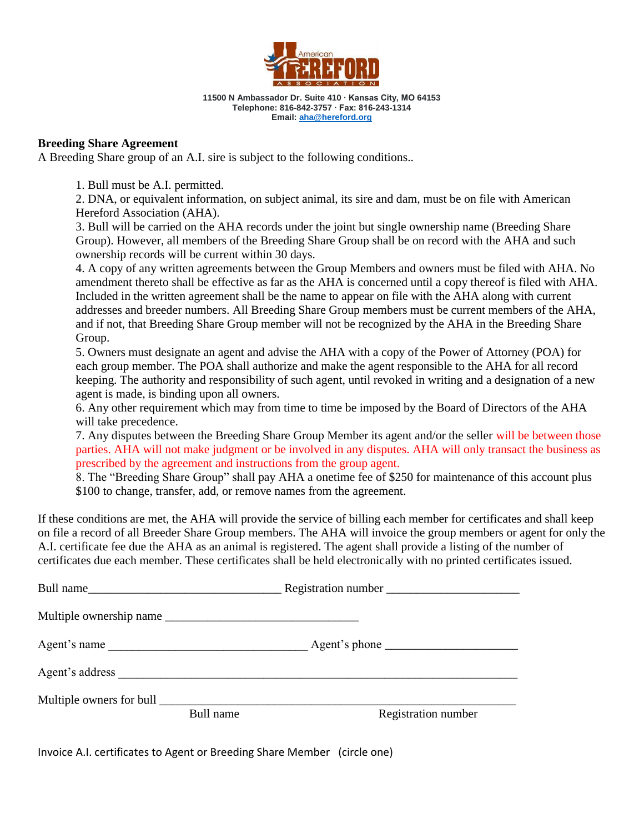

**11500 N Ambassador Dr. Suite 410 ∙ Kansas City, MO 64153 Telephone: 816-842-3757 ∙ Fax: 816-243-1314 Email[: aha@hereford.org](mailto:aha@hereford.org)**

## **Breeding Share Agreement**

A Breeding Share group of an A.I. sire is subject to the following conditions..

1. Bull must be A.I. permitted.

2. DNA, or equivalent information, on subject animal, its sire and dam, must be on file with American Hereford Association (AHA).

3. Bull will be carried on the AHA records under the joint but single ownership name (Breeding Share Group). However, all members of the Breeding Share Group shall be on record with the AHA and such ownership records will be current within 30 days.

4. A copy of any written agreements between the Group Members and owners must be filed with AHA. No amendment thereto shall be effective as far as the AHA is concerned until a copy thereof is filed with AHA. Included in the written agreement shall be the name to appear on file with the AHA along with current addresses and breeder numbers. All Breeding Share Group members must be current members of the AHA, and if not, that Breeding Share Group member will not be recognized by the AHA in the Breeding Share Group.

5. Owners must designate an agent and advise the AHA with a copy of the Power of Attorney (POA) for each group member. The POA shall authorize and make the agent responsible to the AHA for all record keeping. The authority and responsibility of such agent, until revoked in writing and a designation of a new agent is made, is binding upon all owners.

6. Any other requirement which may from time to time be imposed by the Board of Directors of the AHA will take precedence.

7. Any disputes between the Breeding Share Group Member its agent and/or the seller will be between those parties. AHA will not make judgment or be involved in any disputes. AHA will only transact the business as prescribed by the agreement and instructions from the group agent.

8. The "Breeding Share Group" shall pay AHA a onetime fee of \$250 for maintenance of this account plus \$100 to change, transfer, add, or remove names from the agreement.

If these conditions are met, the AHA will provide the service of billing each member for certificates and shall keep on file a record of all Breeder Share Group members. The AHA will invoice the group members or agent for only the A.I. certificate fee due the AHA as an animal is registered. The agent shall provide a listing of the number of certificates due each member. These certificates shall be held electronically with no printed certificates issued.

| Bull name    |           | Registration number |
|--------------|-----------|---------------------|
|              |           |                     |
| Agent's name |           |                     |
|              |           |                     |
|              | Bull name | Registration number |

Invoice A.I. certificates to Agent or Breeding Share Member (circle one)